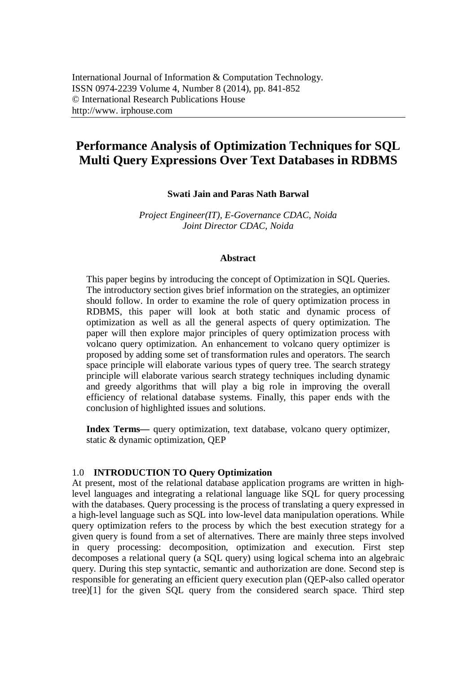# **Performance Analysis of Optimization Techniques for SQL Multi Query Expressions Over Text Databases in RDBMS**

## **Swati Jain and Paras Nath Barwal**

*Project Engineer(IT), E-Governance CDAC, Noida Joint Director CDAC, Noida*

#### **Abstract**

This paper begins by introducing the concept of Optimization in SQL Queries. The introductory section gives brief information on the strategies, an optimizer should follow. In order to examine the role of query optimization process in RDBMS, this paper will look at both static and dynamic process of optimization as well as all the general aspects of query optimization. The paper will then explore major principles of query optimization process with volcano query optimization. An enhancement to volcano query optimizer is proposed by adding some set of transformation rules and operators. The search space principle will elaborate various types of query tree. The search strategy principle will elaborate various search strategy techniques including dynamic and greedy algorithms that will play a big role in improving the overall efficiency of relational database systems. Finally, this paper ends with the conclusion of highlighted issues and solutions.

**Index Terms—** query optimization, text database, volcano query optimizer, static & dynamic optimization, QEP

## 1.0 **INTRODUCTION TO Query Optimization**

At present, most of the relational database application programs are written in highlevel languages and integrating a relational language like SQL for query processing with the databases. Query processing is the process of translating a query expressed in a high-level language such as SQL into low-level data manipulation operations. While query optimization refers to the process by which the best execution strategy for a given query is found from a set of alternatives. There are mainly three steps involved in query processing: decomposition, optimization and execution. First step decomposes a relational query (a SQL query) using logical schema into an algebraic query. During this step syntactic, semantic and authorization are done. Second step is responsible for generating an efficient query execution plan (QEP-also called operator tree)[1] for the given SQL query from the considered search space. Third step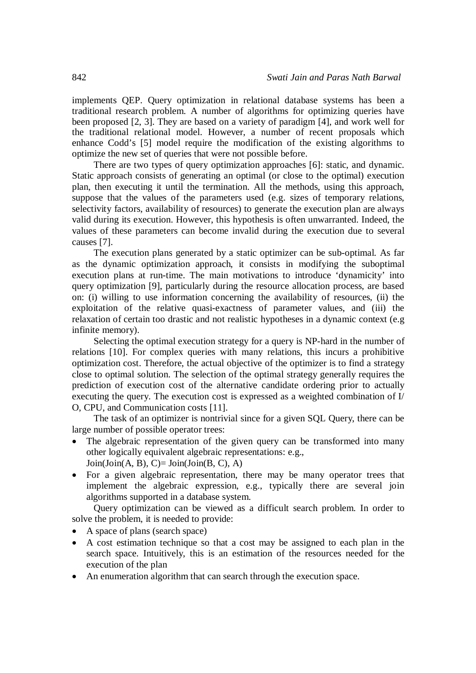implements QEP. Query optimization in relational database systems has been a traditional research problem. A number of algorithms for optimizing queries have been proposed [2, 3]. They are based on a variety of paradigm [4], and work well for the traditional relational model. However, a number of recent proposals which enhance Codd's [5] model require the modification of the existing algorithms to optimize the new set of queries that were not possible before.

There are two types of query optimization approaches [6]: static, and dynamic. Static approach consists of generating an optimal (or close to the optimal) execution plan, then executing it until the termination. All the methods, using this approach, suppose that the values of the parameters used (e.g. sizes of temporary relations, selectivity factors, availability of resources) to generate the execution plan are always valid during its execution. However, this hypothesis is often unwarranted. Indeed, the values of these parameters can become invalid during the execution due to several causes [7].

The execution plans generated by a static optimizer can be sub-optimal. As far as the dynamic optimization approach, it consists in modifying the suboptimal execution plans at run-time. The main motivations to introduce 'dynamicity' into query optimization [9], particularly during the resource allocation process, are based on: (i) willing to use information concerning the availability of resources, (ii) the exploitation of the relative quasi-exactness of parameter values, and (iii) the relaxation of certain too drastic and not realistic hypotheses in a dynamic context (e.g infinite memory).

Selecting the optimal execution strategy for a query is NP-hard in the number of relations [10]. For complex queries with many relations, this incurs a prohibitive optimization cost. Therefore, the actual objective of the optimizer is to find a strategy close to optimal solution. The selection of the optimal strategy generally requires the prediction of execution cost of the alternative candidate ordering prior to actually executing the query. The execution cost is expressed as a weighted combination of I/ O, CPU, and Communication costs [11].

The task of an optimizer is nontrivial since for a given SQL Query, there can be large number of possible operator trees:

- The algebraic representation of the given query can be transformed into many other logically equivalent algebraic representations: e.g.,  $Join(Join(A, B), C)=Join(Join(B, C), A)$
- For a given algebraic representation, there may be many operator trees that implement the algebraic expression, e.g., typically there are several join algorithms supported in a database system.

Query optimization can be viewed as a difficult search problem. In order to solve the problem, it is needed to provide:

- A space of plans (search space)
- A cost estimation technique so that a cost may be assigned to each plan in the search space. Intuitively, this is an estimation of the resources needed for the execution of the plan
- An enumeration algorithm that can search through the execution space.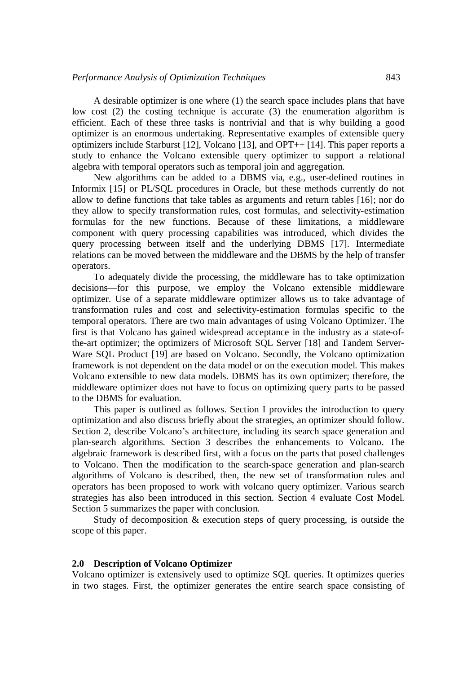A desirable optimizer is one where (1) the search space includes plans that have low cost (2) the costing technique is accurate (3) the enumeration algorithm is efficient. Each of these three tasks is nontrivial and that is why building a good optimizer is an enormous undertaking. Representative examples of extensible query optimizers include Starburst [12], Volcano [13], and OPT++ [14]. This paper reports a study to enhance the Volcano extensible query optimizer to support a relational algebra with temporal operators such as temporal join and aggregation.

New algorithms can be added to a DBMS via, e.g., user-defined routines in Informix [15] or PL/SQL procedures in Oracle, but these methods currently do not allow to define functions that take tables as arguments and return tables [16]; nor do they allow to specify transformation rules, cost formulas, and selectivity-estimation formulas for the new functions. Because of these limitations, a middleware component with query processing capabilities was introduced, which divides the query processing between itself and the underlying DBMS [17]. Intermediate relations can be moved between the middleware and the DBMS by the help of transfer operators.

To adequately divide the processing, the middleware has to take optimization decisions—for this purpose, we employ the Volcano extensible middleware optimizer. Use of a separate middleware optimizer allows us to take advantage of transformation rules and cost and selectivity-estimation formulas specific to the temporal operators. There are two main advantages of using Volcano Optimizer. The first is that Volcano has gained widespread acceptance in the industry as a state-ofthe-art optimizer; the optimizers of Microsoft SQL Server [18] and Tandem Server-Ware SQL Product [19] are based on Volcano. Secondly, the Volcano optimization framework is not dependent on the data model or on the execution model. This makes Volcano extensible to new data models. DBMS has its own optimizer; therefore, the middleware optimizer does not have to focus on optimizing query parts to be passed to the DBMS for evaluation.

This paper is outlined as follows. Section I provides the introduction to query optimization and also discuss briefly about the strategies, an optimizer should follow. Section 2, describe Volcano's architecture, including its search space generation and plan-search algorithms. Section 3 describes the enhancements to Volcano. The algebraic framework is described first, with a focus on the parts that posed challenges to Volcano. Then the modification to the search-space generation and plan-search algorithms of Volcano is described, then, the new set of transformation rules and operators has been proposed to work with volcano query optimizer. Various search strategies has also been introduced in this section. Section 4 evaluate Cost Model. Section 5 summarizes the paper with conclusion.

Study of decomposition & execution steps of query processing, is outside the scope of this paper.

## **2.0 Description of Volcano Optimizer**

Volcano optimizer is extensively used to optimize SQL queries. It optimizes queries in two stages. First, the optimizer generates the entire search space consisting of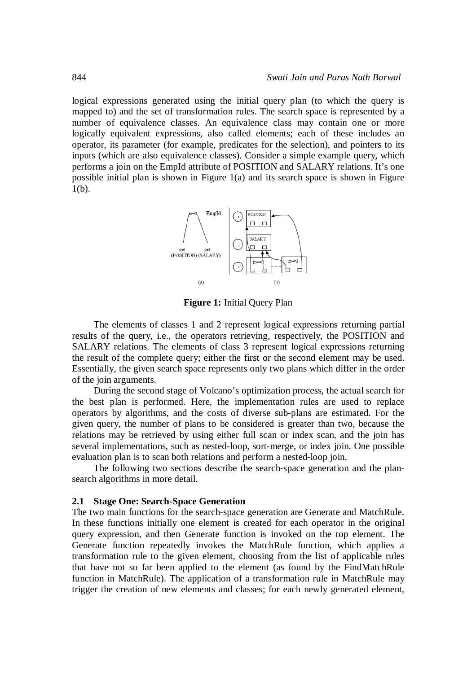logical expressions generated using the initial query plan (to which the query is mapped to) and the set of transformation rules. The search space is represented by a number of equivalence classes. An equivalence class may contain one or more logically equivalent expressions, also called elements; each of these includes an operator, its parameter (for example, predicates for the selection), and pointers to its inputs (which are also equivalence classes). Consider a simple example query, which performs a join on the EmpId attribute of POSITION and SALARY relations. It's one possible initial plan is shown in Figure 1(a) and its search space is shown in Figure 1(b).



**Figure 1:** Initial Query Plan

The elements of classes 1 and 2 represent logical expressions returning partial results of the query, i.e., the operators retrieving, respectively, the POSITION and SALARY relations. The elements of class 3 represent logical expressions returning the result of the complete query; either the first or the second element may be used. Essentially, the given search space represents only two plans which differ in the order of the join arguments.

During the second stage of Volcano's optimization process, the actual search for the best plan is performed. Here, the implementation rules are used to replace operators by algorithms, and the costs of diverse sub-plans are estimated. For the given query, the number of plans to be considered is greater than two, because the relations may be retrieved by using either full scan or index scan, and the join has several implementations, such as nested-loop, sort-merge, or index join. One possible evaluation plan is to scan both relations and perform a nested-loop join.

The following two sections describe the search-space generation and the plansearch algorithms in more detail.

#### **2.1 Stage One: Search-Space Generation**

The two main functions for the search-space generation are Generate and MatchRule. In these functions initially one element is created for each operator in the original query expression, and then Generate function is invoked on the top element. The Generate function repeatedly invokes the MatchRule function, which applies a transformation rule to the given element, choosing from the list of applicable rules that have not so far been applied to the element (as found by the FindMatchRule function in MatchRule). The application of a transformation rule in MatchRule may trigger the creation of new elements and classes; for each newly generated element,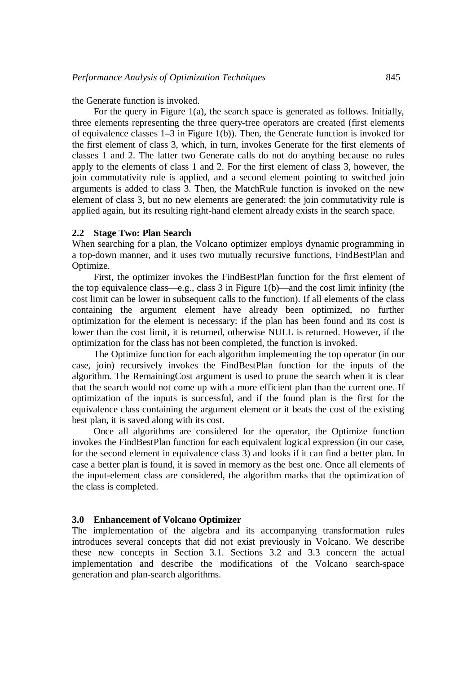the Generate function is invoked.

For the query in Figure 1(a), the search space is generated as follows. Initially, three elements representing the three query-tree operators are created (first elements of equivalence classes 1–3 in Figure 1(b)). Then, the Generate function is invoked for the first element of class 3, which, in turn, invokes Generate for the first elements of classes 1 and 2. The latter two Generate calls do not do anything because no rules apply to the elements of class 1 and 2. For the first element of class 3, however, the join commutativity rule is applied, and a second element pointing to switched join arguments is added to class 3. Then, the MatchRule function is invoked on the new element of class 3, but no new elements are generated: the join commutativity rule is applied again, but its resulting right-hand element already exists in the search space.

#### **2.2 Stage Two: Plan Search**

When searching for a plan, the Volcano optimizer employs dynamic programming in a top-down manner, and it uses two mutually recursive functions, FindBestPlan and Optimize.

First, the optimizer invokes the FindBestPlan function for the first element of the top equivalence class—e.g., class 3 in Figure 1(b)—and the cost limit infinity (the cost limit can be lower in subsequent calls to the function). If all elements of the class containing the argument element have already been optimized, no further optimization for the element is necessary: if the plan has been found and its cost is lower than the cost limit, it is returned, otherwise NULL is returned. However, if the optimization for the class has not been completed, the function is invoked.

The Optimize function for each algorithm implementing the top operator (in our case, join) recursively invokes the FindBestPlan function for the inputs of the algorithm. The RemainingCost argument is used to prune the search when it is clear that the search would not come up with a more efficient plan than the current one. If optimization of the inputs is successful, and if the found plan is the first for the equivalence class containing the argument element or it beats the cost of the existing best plan, it is saved along with its cost.

Once all algorithms are considered for the operator, the Optimize function invokes the FindBestPlan function for each equivalent logical expression (in our case, for the second element in equivalence class 3) and looks if it can find a better plan. In case a better plan is found, it is saved in memory as the best one. Once all elements of the input-element class are considered, the algorithm marks that the optimization of the class is completed.

#### **3.0 Enhancement of Volcano Optimizer**

The implementation of the algebra and its accompanying transformation rules introduces several concepts that did not exist previously in Volcano. We describe these new concepts in Section 3.1. Sections 3.2 and 3.3 concern the actual implementation and describe the modifications of the Volcano search-space generation and plan-search algorithms.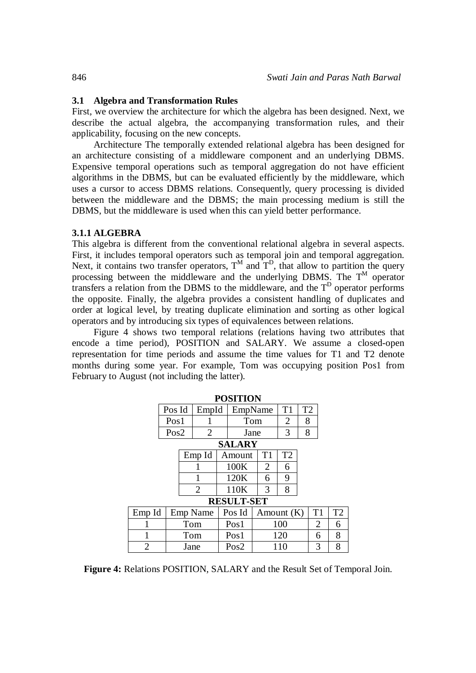### **3.1 Algebra and Transformation Rules**

First, we overview the architecture for which the algebra has been designed. Next, we describe the actual algebra, the accompanying transformation rules, and their applicability, focusing on the new concepts.

Architecture The temporally extended relational algebra has been designed for an architecture consisting of a middleware component and an underlying DBMS. Expensive temporal operations such as temporal aggregation do not have efficient algorithms in the DBMS, but can be evaluated efficiently by the middleware, which uses a cursor to access DBMS relations. Consequently, query processing is divided between the middleware and the DBMS; the main processing medium is still the DBMS, but the middleware is used when this can yield better performance.

#### **3.1.1 ALGEBRA**

This algebra is different from the conventional relational algebra in several aspects. First, it includes temporal operators such as temporal join and temporal aggregation. Next, it contains two transfer operators,  $T^M$  and  $T^D$ , that allow to partition the query processing between the middleware and the underlying DBMS. The  $T^M$  operator transfers a relation from the DBMS to the middleware, and the  $T<sup>D</sup>$  operator performs the opposite. Finally, the algebra provides a consistent handling of duplicates and order at logical level, by treating duplicate elimination and sorting as other logical operators and by introducing six types of equivalences between relations.

Figure 4 shows two temporal relations (relations having two attributes that encode a time period), POSITION and SALARY. We assume a closed-open representation for time periods and assume the time values for T1 and T2 denote months during some year. For example, Tom was occupying position Pos1 from February to August (not including the latter).

**POSITION**

| PUSLLIUN |        |          |                |        |                   |            |    |                |   |    |                |
|----------|--------|----------|----------------|--------|-------------------|------------|----|----------------|---|----|----------------|
|          | Pos Id |          | EmpId          |        | EmpName           |            | T1 | T <sub>2</sub> |   |    |                |
|          | Pos1   |          |                |        | Tom               |            | 2  | 8              |   |    |                |
|          | Pos2   |          | 2              |        | Jane              |            |    | 3              | 8 |    |                |
|          |        |          |                |        | <b>SALARY</b>     |            |    |                |   |    |                |
|          |        |          | Emp Id         | Amount |                   |            | T1 | T2             |   |    |                |
|          |        |          |                |        | 100K              |            | 2  | 6              |   |    |                |
|          |        |          |                |        | 120K              |            | 6  | 9              |   |    |                |
|          |        |          | $\overline{2}$ | 110K   |                   |            | 3  | 8              |   |    |                |
|          |        |          |                |        | <b>RESULT-SET</b> |            |    |                |   |    |                |
| Emp Id   |        | Emp Name |                |        | Pos Id            | Amount (K) |    |                |   | T1 | T <sub>2</sub> |
|          |        | Tom      |                |        | Pos <sub>1</sub>  | 100        |    |                | 2 | 6  |                |
| 1        |        | Tom      |                |        | Pos1              | 120        |    |                | 6 | 8  |                |
| 2        |        | Jane     |                |        | Pos2              | 110        |    |                |   | 3  | 8              |

**Figure 4:** Relations POSITION, SALARY and the Result Set of Temporal Join.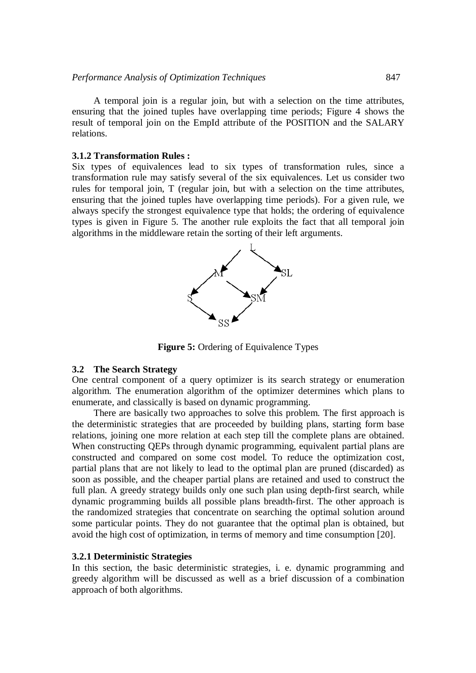A temporal join is a regular join, but with a selection on the time attributes, ensuring that the joined tuples have overlapping time periods; Figure 4 shows the result of temporal join on the EmpId attribute of the POSITION and the SALARY relations.

# **3.1.2 Transformation Rules :**

Six types of equivalences lead to six types of transformation rules, since a transformation rule may satisfy several of the six equivalences. Let us consider two rules for temporal join, T (regular join, but with a selection on the time attributes, ensuring that the joined tuples have overlapping time periods). For a given rule, we always specify the strongest equivalence type that holds; the ordering of equivalence types is given in Figure 5. The another rule exploits the fact that all temporal join algorithms in the middleware retain the sorting of their left arguments.



**Figure 5:** Ordering of Equivalence Types

### **3.2 The Search Strategy**

One central component of a query optimizer is its search strategy or enumeration algorithm. The enumeration algorithm of the optimizer determines which plans to enumerate, and classically is based on dynamic programming.

There are basically two approaches to solve this problem. The first approach is the deterministic strategies that are proceeded by building plans, starting form base relations, joining one more relation at each step till the complete plans are obtained. When constructing QEPs through dynamic programming, equivalent partial plans are constructed and compared on some cost model. To reduce the optimization cost, partial plans that are not likely to lead to the optimal plan are pruned (discarded) as soon as possible, and the cheaper partial plans are retained and used to construct the full plan. A greedy strategy builds only one such plan using depth-first search, while dynamic programming builds all possible plans breadth-first. The other approach is the randomized strategies that concentrate on searching the optimal solution around some particular points. They do not guarantee that the optimal plan is obtained, but avoid the high cost of optimization, in terms of memory and time consumption [20].

### **3.2.1 Deterministic Strategies**

In this section, the basic deterministic strategies, i. e. dynamic programming and greedy algorithm will be discussed as well as a brief discussion of a combination approach of both algorithms.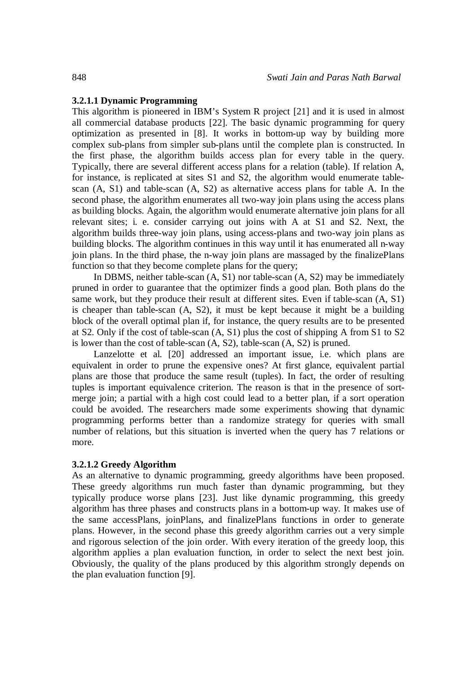## **3.2.1.1 Dynamic Programming**

This algorithm is pioneered in IBM's System R project [21] and it is used in almost all commercial database products [22]. The basic dynamic programming for query optimization as presented in [8]. It works in bottom-up way by building more complex sub-plans from simpler sub-plans until the complete plan is constructed. In the first phase, the algorithm builds access plan for every table in the query. Typically, there are several different access plans for a relation (table). If relation A, for instance, is replicated at sites S1 and S2, the algorithm would enumerate tablescan (A, S1) and table-scan (A, S2) as alternative access plans for table A. In the second phase, the algorithm enumerates all two-way join plans using the access plans as building blocks. Again, the algorithm would enumerate alternative join plans for all relevant sites; i. e. consider carrying out joins with A at S1 and S2. Next, the algorithm builds three-way join plans, using access-plans and two-way join plans as building blocks. The algorithm continues in this way until it has enumerated all n-way join plans. In the third phase, the n-way join plans are massaged by the finalizePlans function so that they become complete plans for the query;

In DBMS, neither table-scan (A, S1) nor table-scan (A, S2) may be immediately pruned in order to guarantee that the optimizer finds a good plan. Both plans do the same work, but they produce their result at different sites. Even if table-scan (A, S1) is cheaper than table-scan (A, S2), it must be kept because it might be a building block of the overall optimal plan if, for instance, the query results are to be presented at S2. Only if the cost of table-scan (A, S1) plus the cost of shipping A from S1 to S2 is lower than the cost of table-scan (A, S2), table-scan (A, S2) is pruned.

Lanzelotte et al. [20] addressed an important issue, i.e. which plans are equivalent in order to prune the expensive ones? At first glance, equivalent partial plans are those that produce the same result (tuples). In fact, the order of resulting tuples is important equivalence criterion. The reason is that in the presence of sortmerge join; a partial with a high cost could lead to a better plan, if a sort operation could be avoided. The researchers made some experiments showing that dynamic programming performs better than a randomize strategy for queries with small number of relations, but this situation is inverted when the query has 7 relations or more.

## **3.2.1.2 Greedy Algorithm**

As an alternative to dynamic programming, greedy algorithms have been proposed. These greedy algorithms run much faster than dynamic programming, but they typically produce worse plans [23]. Just like dynamic programming, this greedy algorithm has three phases and constructs plans in a bottom-up way. It makes use of the same accessPlans, joinPlans, and finalizePlans functions in order to generate plans. However, in the second phase this greedy algorithm carries out a very simple and rigorous selection of the join order. With every iteration of the greedy loop, this algorithm applies a plan evaluation function, in order to select the next best join. Obviously, the quality of the plans produced by this algorithm strongly depends on the plan evaluation function [9].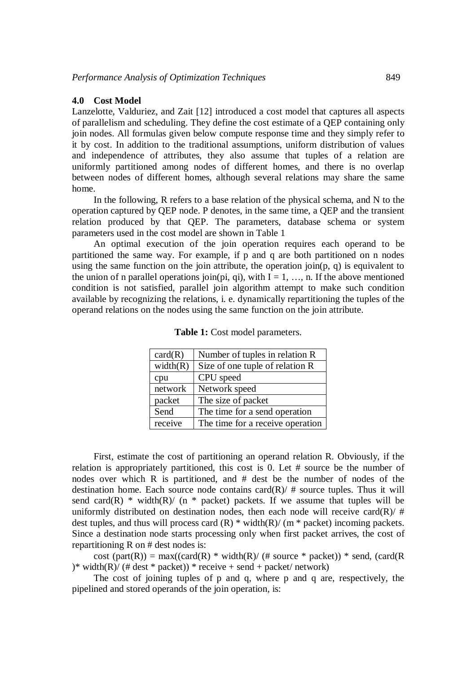#### **4.0 Cost Model**

Lanzelotte, Valduriez, and Zait [12] introduced a cost model that captures all aspects of parallelism and scheduling. They define the cost estimate of a QEP containing only join nodes. All formulas given below compute response time and they simply refer to it by cost. In addition to the traditional assumptions, uniform distribution of values and independence of attributes, they also assume that tuples of a relation are uniformly partitioned among nodes of different homes, and there is no overlap between nodes of different homes, although several relations may share the same home.

In the following, R refers to a base relation of the physical schema, and N to the operation captured by QEP node. P denotes, in the same time, a QEP and the transient relation produced by that QEP. The parameters, database schema or system parameters used in the cost model are shown in Table 1

An optimal execution of the join operation requires each operand to be partitioned the same way. For example, if p and q are both partitioned on n nodes using the same function on the join attribute, the operation join( $p$ ,  $q$ ) is equivalent to the union of n parallel operations join(pi, qi), with  $I = 1, ..., n$ . If the above mentioned condition is not satisfied, parallel join algorithm attempt to make such condition available by recognizing the relations, i. e. dynamically repartitioning the tuples of the operand relations on the nodes using the same function on the join attribute.

| card(R)  | Number of tuples in relation R   |  |  |  |  |  |
|----------|----------------------------------|--|--|--|--|--|
| width(R) | Size of one tuple of relation R  |  |  |  |  |  |
| cpu      | CPU speed                        |  |  |  |  |  |
| network  | Network speed                    |  |  |  |  |  |
| packet   | The size of packet               |  |  |  |  |  |
| Send     | The time for a send operation    |  |  |  |  |  |
| receive  | The time for a receive operation |  |  |  |  |  |

Table 1: Cost model parameters.

First, estimate the cost of partitioning an operand relation R. Obviously, if the relation is appropriately partitioned, this cost is 0. Let # source be the number of nodes over which R is partitioned, and # dest be the number of nodes of the destination home. Each source node contains  $card(R)/#$  source tuples. Thus it will send card(R)  $*$  width(R)/ (n  $*$  packet) packets. If we assume that tuples will be uniformly distributed on destination nodes, then each node will receive card(R)/  $\#$ dest tuples, and thus will process card  $(R)$  \* width $(R)$   $(m$  \* packet) incoming packets. Since a destination node starts processing only when first packet arrives, the cost of repartitioning R on # dest nodes is:

cost (part(R)) = max((card(R) \* width(R)/ (# source \* packet)) \* send, (card(R) )\* width(R)/ (# dest \* packet)) \* receive + send + packet/ network)

The cost of joining tuples of p and q, where p and q are, respectively, the pipelined and stored operands of the join operation, is: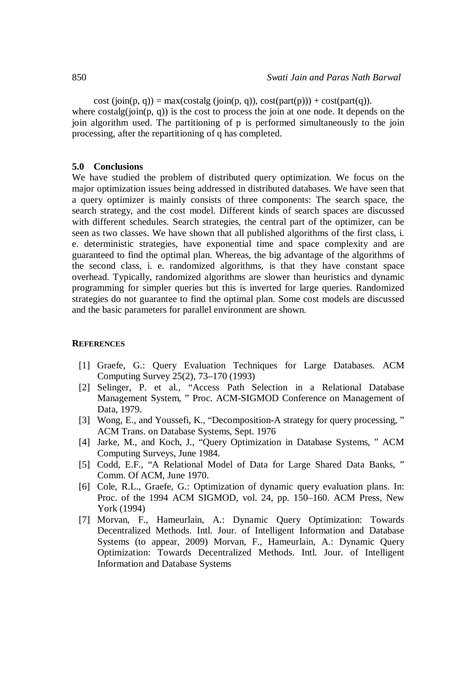cost  $(join(p, q)) = max(costalg (join(p, q)), cost(part(p))) + cost(part(q)).$ where  $\text{costalg}(i\text{oin}(p, q))$  is the cost to process the join at one node. It depends on the join algorithm used. The partitioning of p is performed simultaneously to the join processing, after the repartitioning of q has completed.

#### **5.0 Conclusions**

We have studied the problem of distributed query optimization. We focus on the major optimization issues being addressed in distributed databases. We have seen that a query optimizer is mainly consists of three components: The search space, the search strategy, and the cost model. Different kinds of search spaces are discussed with different schedules. Search strategies, the central part of the optimizer, can be seen as two classes. We have shown that all published algorithms of the first class, i. e. deterministic strategies, have exponential time and space complexity and are guaranteed to find the optimal plan. Whereas, the big advantage of the algorithms of the second class, i. e. randomized algorithms, is that they have constant space overhead. Typically, randomized algorithms are slower than heuristics and dynamic programming for simpler queries but this is inverted for large queries. Randomized strategies do not guarantee to find the optimal plan. Some cost models are discussed and the basic parameters for parallel environment are shown.

#### **REFERENCES**

- [1] Graefe, G.: Query Evaluation Techniques for Large Databases. ACM Computing Survey 25(2), 73–170 (1993)
- [2] Selinger, P. et al., "Access Path Selection in a Relational Database Management System, " Proc. ACM-SIGMOD Conference on Management of Data, 1979.
- [3] Wong, E., and Youssefi, K., "Decomposition-A strategy for query processing, " ACM Trans. on Database Systems, Sept. 1976
- [4] Jarke, M., and Koch, J., "Query Optimization in Database Systems, " ACM Computing Surveys, June 1984.
- [5] Codd, E.F., "A Relational Model of Data for Large Shared Data Banks, " Comm. Of ACM, June 1970.
- [6] Cole, R.L., Graefe, G.: Optimization of dynamic query evaluation plans. In: Proc. of the 1994 ACM SIGMOD, vol. 24, pp. 150–160. ACM Press, New York (1994)
- [7] Morvan, F., Hameurlain, A.: Dynamic Query Optimization: Towards Decentralized Methods. Intl. Jour. of Intelligent Information and Database Systems (to appear, 2009) Morvan, F., Hameurlain, A.: Dynamic Query Optimization: Towards Decentralized Methods. Intl. Jour. of Intelligent Information and Database Systems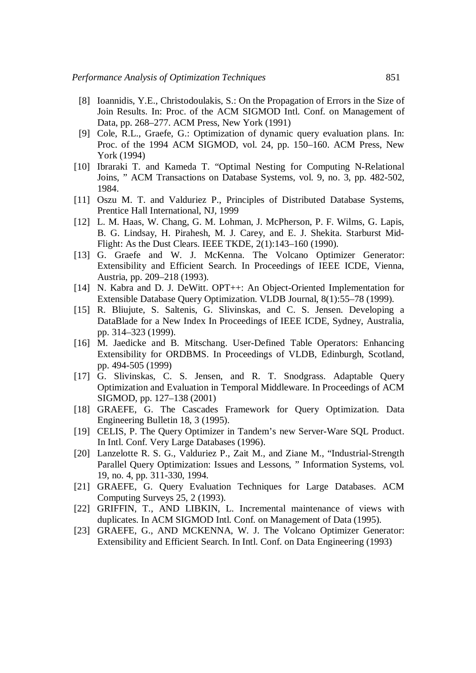- [8] Ioannidis, Y.E., Christodoulakis, S.: On the Propagation of Errors in the Size of Join Results. In: Proc. of the ACM SIGMOD Intl. Conf. on Management of Data, pp. 268–277. ACM Press, New York (1991)
- [9] Cole, R.L., Graefe, G.: Optimization of dynamic query evaluation plans. In: Proc. of the 1994 ACM SIGMOD, vol. 24, pp. 150–160. ACM Press, New York (1994)
- [10] Ibraraki T. and Kameda T. "Optimal Nesting for Computing N-Relational Joins, " ACM Transactions on Database Systems, vol. 9, no. 3, pp. 482-502, 1984.
- [11] Oszu M. T. and Valduriez P., Principles of Distributed Database Systems, Prentice Hall International, NJ, 1999
- [12] L. M. Haas, W. Chang, G. M. Lohman, J. McPherson, P. F. Wilms, G. Lapis, B. G. Lindsay, H. Pirahesh, M. J. Carey, and E. J. Shekita. Starburst Mid-Flight: As the Dust Clears. IEEE TKDE, 2(1):143–160 (1990).
- [13] G. Graefe and W. J. McKenna. The Volcano Optimizer Generator: Extensibility and Efficient Search. In Proceedings of IEEE ICDE, Vienna, Austria, pp. 209–218 (1993).
- [14] N. Kabra and D. J. DeWitt. OPT++: An Object-Oriented Implementation for Extensible Database Query Optimization. VLDB Journal, 8(1):55–78 (1999).
- [15] R. Bliujute, S. Saltenis, G. Slivinskas, and C. S. Jensen. Developing a DataBlade for a New Index In Proceedings of IEEE ICDE, Sydney, Australia, pp. 314–323 (1999).
- [16] M. Jaedicke and B. Mitschang. User-Defined Table Operators: Enhancing Extensibility for ORDBMS. In Proceedings of VLDB, Edinburgh, Scotland, pp. 494-505 (1999)
- [17] G. Slivinskas, C. S. Jensen, and R. T. Snodgrass. Adaptable Query Optimization and Evaluation in Temporal Middleware. In Proceedings of ACM SIGMOD, pp. 127–138 (2001)
- [18] GRAEFE, G. The Cascades Framework for Query Optimization. Data Engineering Bulletin 18, 3 (1995).
- [19] CELIS, P. The Query Optimizer in Tandem's new Server-Ware SQL Product. In Intl. Conf. Very Large Databases (1996).
- [20] Lanzelotte R. S. G., Valduriez P., Zait M., and Ziane M., "Industrial-Strength" Parallel Query Optimization: Issues and Lessons, " Information Systems, vol. 19, no. 4, pp. 311-330, 1994.
- [21] GRAEFE, G. Query Evaluation Techniques for Large Databases. ACM Computing Surveys 25, 2 (1993).
- [22] GRIFFIN, T., AND LIBKIN, L. Incremental maintenance of views with duplicates. In ACM SIGMOD Intl. Conf. on Management of Data (1995).
- [23] GRAEFE, G., AND MCKENNA, W. J. The Volcano Optimizer Generator: Extensibility and Efficient Search. In Intl. Conf. on Data Engineering (1993)